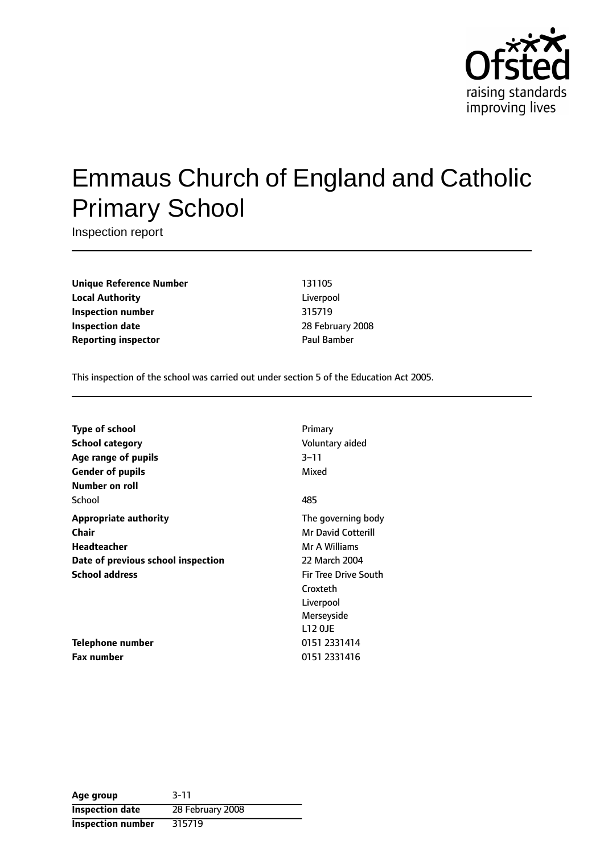

# Emmaus Church of England and Catholic Primary School

Inspection report

**Unique Reference Number** 131105 **Local Authority** Liverpool **Inspection number** 315719 **Inspection date** 28 February 2008 **Reporting inspector CONFIDENTIAL BAMBER** Paul Bamber

This inspection of the school was carried out under section 5 of the Education Act 2005.

| <b>Type of school</b>              | Primary                     |
|------------------------------------|-----------------------------|
| <b>School category</b>             | Voluntary aided             |
| Age range of pupils                | $3 - 11$                    |
| <b>Gender of pupils</b>            | Mixed                       |
| Number on roll                     |                             |
| School                             | 485                         |
| <b>Appropriate authority</b>       | The governing body          |
| <b>Chair</b>                       | <b>Mr David Cotterill</b>   |
| Headteacher                        | Mr A Williams               |
| Date of previous school inspection | 22 March 2004               |
| <b>School address</b>              | <b>Fir Tree Drive South</b> |
|                                    | Croxteth                    |
|                                    | Liverpool                   |
|                                    | Merseyside                  |
|                                    | <b>L12 OJE</b>              |
| Telephone number                   | 0151 2331414                |
| <b>Fax number</b>                  | 0151 2331416                |

| Age group                | $3 - 11$         |
|--------------------------|------------------|
| <b>Inspection date</b>   | 28 February 2008 |
| <b>Inspection number</b> | 315719           |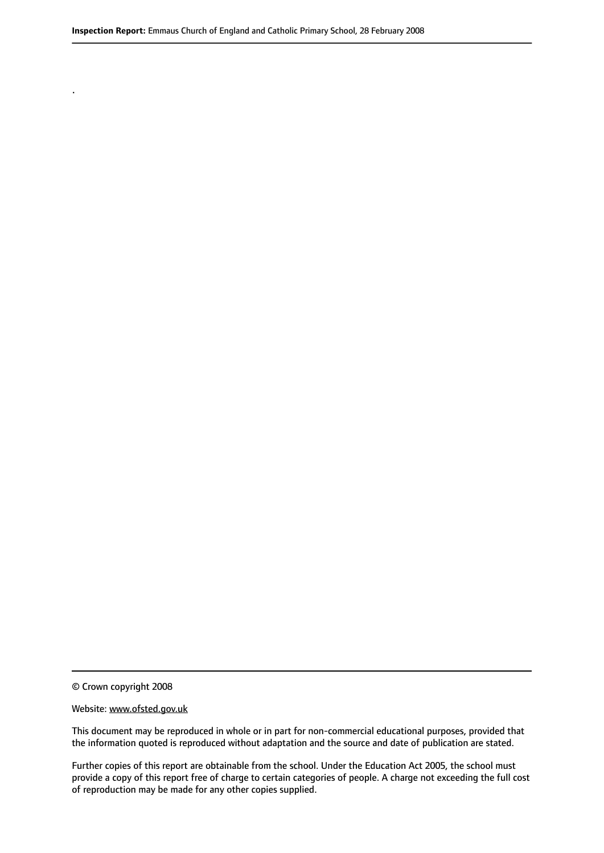© Crown copyright 2008

.

#### Website: www.ofsted.gov.uk

This document may be reproduced in whole or in part for non-commercial educational purposes, provided that the information quoted is reproduced without adaptation and the source and date of publication are stated.

Further copies of this report are obtainable from the school. Under the Education Act 2005, the school must provide a copy of this report free of charge to certain categories of people. A charge not exceeding the full cost of reproduction may be made for any other copies supplied.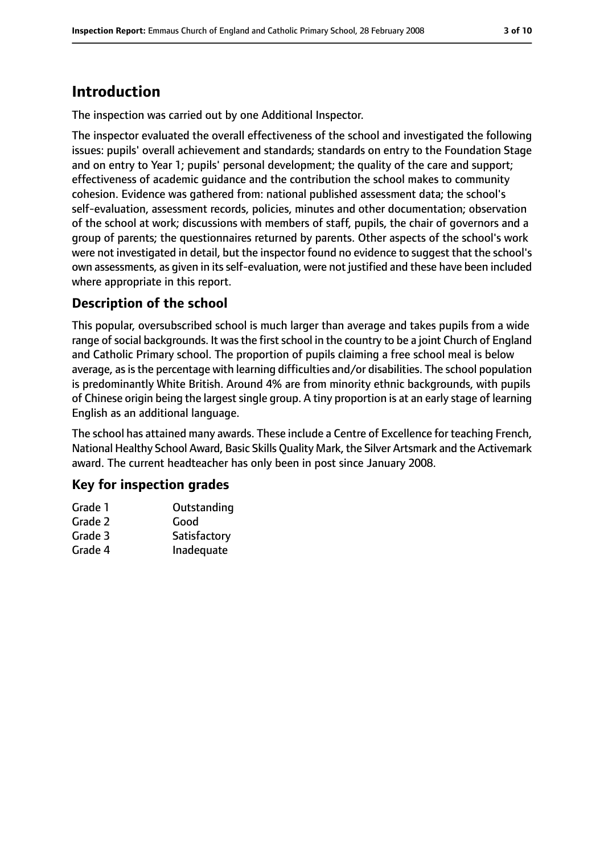## **Introduction**

The inspection was carried out by one Additional Inspector.

The inspector evaluated the overall effectiveness of the school and investigated the following issues: pupils' overall achievement and standards; standards on entry to the Foundation Stage and on entry to Year 1; pupils' personal development; the quality of the care and support; effectiveness of academic guidance and the contribution the school makes to community cohesion. Evidence was gathered from: national published assessment data; the school's self-evaluation, assessment records, policies, minutes and other documentation; observation of the school at work; discussions with members of staff, pupils, the chair of governors and a group of parents; the questionnaires returned by parents. Other aspects of the school's work were not investigated in detail, but the inspector found no evidence to suggest that the school's own assessments, as given in itsself-evaluation, were not justified and these have been included where appropriate in this report.

### **Description of the school**

This popular, oversubscribed school is much larger than average and takes pupils from a wide range of social backgrounds. It was the first school in the country to be a joint Church of England and Catholic Primary school. The proportion of pupils claiming a free school meal is below average, as is the percentage with learning difficulties and/or disabilities. The school population is predominantly White British. Around 4% are from minority ethnic backgrounds, with pupils of Chinese origin being the largest single group. A tiny proportion is at an early stage of learning English as an additional language.

The school has attained many awards. These include a Centre of Excellence for teaching French, National Healthy School Award, Basic Skills Quality Mark, the Silver Artsmark and the Activemark award. The current headteacher has only been in post since January 2008.

### **Key for inspection grades**

| Grade 1 | Outstanding  |
|---------|--------------|
| Grade 2 | Good         |
| Grade 3 | Satisfactory |
| Grade 4 | Inadequate   |
|         |              |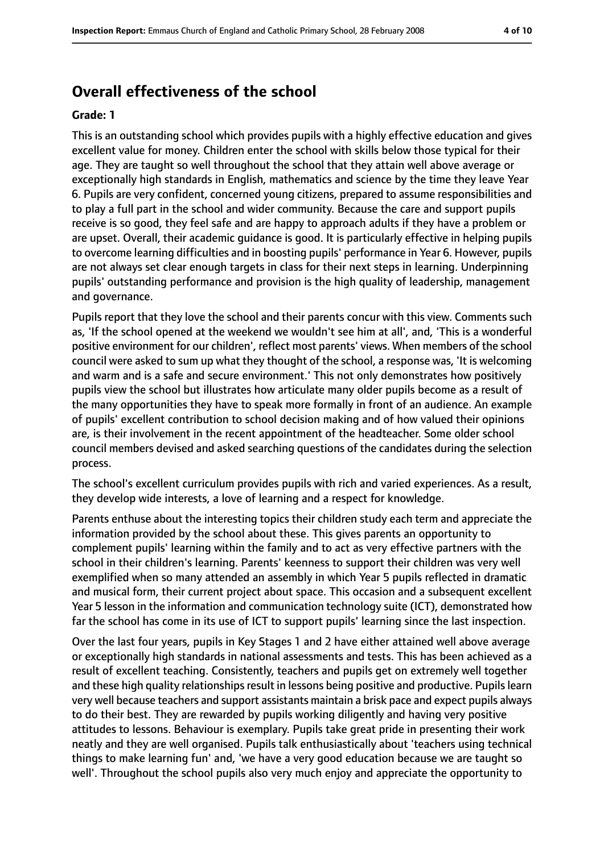### **Overall effectiveness of the school**

#### **Grade: 1**

This is an outstanding school which provides pupils with a highly effective education and gives excellent value for money. Children enter the school with skills below those typical for their age. They are taught so well throughout the school that they attain well above average or exceptionally high standards in English, mathematics and science by the time they leave Year 6. Pupils are very confident, concerned young citizens, prepared to assume responsibilities and to play a full part in the school and wider community. Because the care and support pupils receive is so good, they feel safe and are happy to approach adults if they have a problem or are upset. Overall, their academic guidance is good. It is particularly effective in helping pupils to overcome learning difficulties and in boosting pupils' performance in Year 6. However, pupils are not always set clear enough targets in class for their next steps in learning. Underpinning pupils' outstanding performance and provision is the high quality of leadership, management and governance.

Pupils report that they love the school and their parents concur with this view. Comments such as, 'If the school opened at the weekend we wouldn't see him at all', and, 'This is a wonderful positive environment for our children', reflect most parents' views. When members of the school council were asked to sum up what they thought of the school, a response was, 'It is welcoming and warm and is a safe and secure environment.' This not only demonstrates how positively pupils view the school but illustrates how articulate many older pupils become as a result of the many opportunities they have to speak more formally in front of an audience. An example of pupils' excellent contribution to school decision making and of how valued their opinions are, is their involvement in the recent appointment of the headteacher. Some older school council members devised and asked searching questions of the candidates during the selection process.

The school's excellent curriculum provides pupils with rich and varied experiences. As a result, they develop wide interests, a love of learning and a respect for knowledge.

Parents enthuse about the interesting topics their children study each term and appreciate the information provided by the school about these. This gives parents an opportunity to complement pupils' learning within the family and to act as very effective partners with the school in their children's learning. Parents' keenness to support their children was very well exemplified when so many attended an assembly in which Year 5 pupils reflected in dramatic and musical form, their current project about space. This occasion and a subsequent excellent Year 5 lesson in the information and communication technology suite (ICT), demonstrated how far the school has come in its use of ICT to support pupils' learning since the last inspection.

Over the last four years, pupils in Key Stages 1 and 2 have either attained well above average or exceptionally high standards in national assessments and tests. This has been achieved as a result of excellent teaching. Consistently, teachers and pupils get on extremely well together and these high quality relationships result in lessons being positive and productive. Pupils learn very well because teachers and support assistants maintain a brisk pace and expect pupils always to do their best. They are rewarded by pupils working diligently and having very positive attitudes to lessons. Behaviour is exemplary. Pupils take great pride in presenting their work neatly and they are well organised. Pupils talk enthusiastically about 'teachers using technical things to make learning fun' and, 'we have a very good education because we are taught so well'. Throughout the school pupils also very much enjoy and appreciate the opportunity to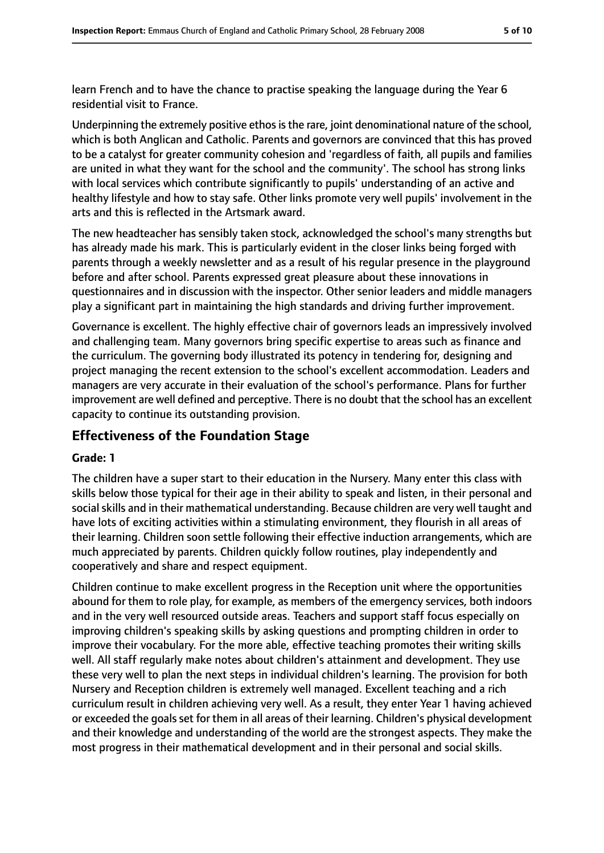learn French and to have the chance to practise speaking the language during the Year 6 residential visit to France.

Underpinning the extremely positive ethos is the rare, joint denominational nature of the school, which is both Anglican and Catholic. Parents and governors are convinced that this has proved to be a catalyst for greater community cohesion and 'regardless of faith, all pupils and families are united in what they want for the school and the community'. The school has strong links with local services which contribute significantly to pupils' understanding of an active and healthy lifestyle and how to stay safe. Other links promote very well pupils' involvement in the arts and this is reflected in the Artsmark award.

The new headteacher has sensibly taken stock, acknowledged the school's many strengths but has already made his mark. This is particularly evident in the closer links being forged with parents through a weekly newsletter and as a result of his regular presence in the playground before and after school. Parents expressed great pleasure about these innovations in questionnaires and in discussion with the inspector. Other senior leaders and middle managers play a significant part in maintaining the high standards and driving further improvement.

Governance is excellent. The highly effective chair of governors leads an impressively involved and challenging team. Many governors bring specific expertise to areas such as finance and the curriculum. The governing body illustrated its potency in tendering for, designing and project managing the recent extension to the school's excellent accommodation. Leaders and managers are very accurate in their evaluation of the school's performance. Plans for further improvement are well defined and perceptive. There is no doubt that the school has an excellent capacity to continue its outstanding provision.

### **Effectiveness of the Foundation Stage**

### **Grade: 1**

The children have a super start to their education in the Nursery. Many enter this class with skills below those typical for their age in their ability to speak and listen, in their personal and social skills and in their mathematical understanding. Because children are very well taught and have lots of exciting activities within a stimulating environment, they flourish in all areas of their learning. Children soon settle following their effective induction arrangements, which are much appreciated by parents. Children quickly follow routines, play independently and cooperatively and share and respect equipment.

Children continue to make excellent progress in the Reception unit where the opportunities abound for them to role play, for example, as members of the emergency services, both indoors and in the very well resourced outside areas. Teachers and support staff focus especially on improving children's speaking skills by asking questions and prompting children in order to improve their vocabulary. For the more able, effective teaching promotes their writing skills well. All staff regularly make notes about children's attainment and development. They use these very well to plan the next steps in individual children's learning. The provision for both Nursery and Reception children is extremely well managed. Excellent teaching and a rich curriculum result in children achieving very well. As a result, they enter Year 1 having achieved or exceeded the goals set for them in all areas of their learning. Children's physical development and their knowledge and understanding of the world are the strongest aspects. They make the most progress in their mathematical development and in their personal and social skills.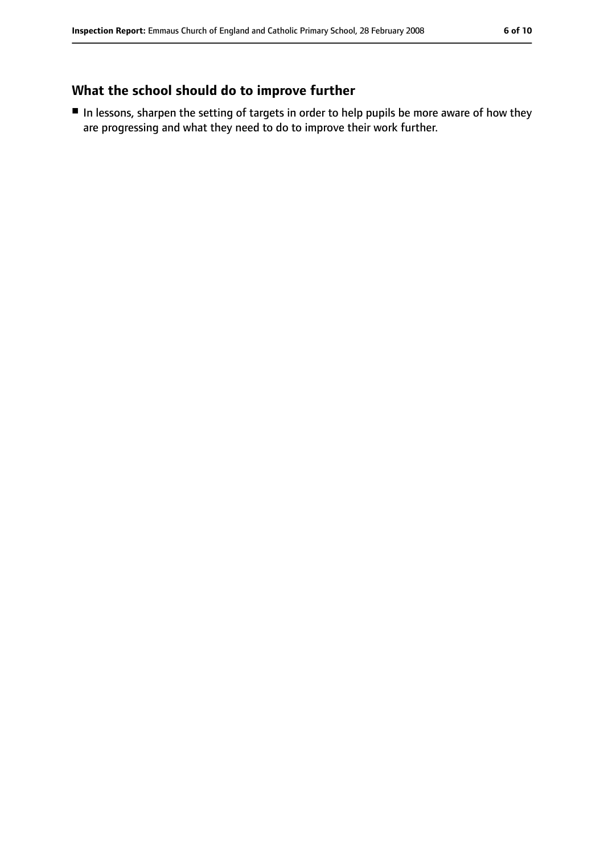### **What the school should do to improve further**

■ In lessons, sharpen the setting of targets in order to help pupils be more aware of how they are progressing and what they need to do to improve their work further.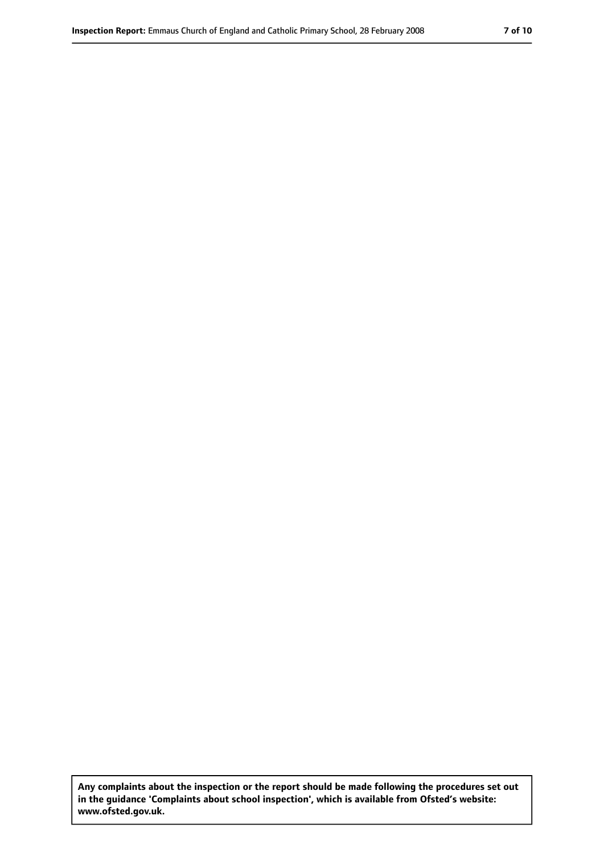**Any complaints about the inspection or the report should be made following the procedures set out in the guidance 'Complaints about school inspection', which is available from Ofsted's website: www.ofsted.gov.uk.**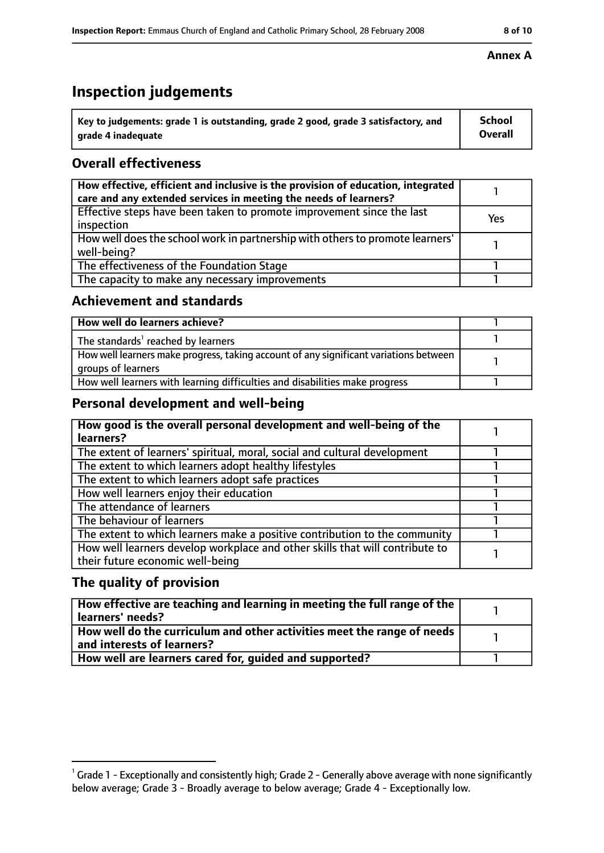# **Inspection judgements**

| $\dot{ }$ Key to judgements: grade 1 is outstanding, grade 2 good, grade 3 satisfactory, and | <b>School</b>  |
|----------------------------------------------------------------------------------------------|----------------|
| arade 4 inadequate                                                                           | <b>Overall</b> |

### **Overall effectiveness**

| How effective, efficient and inclusive is the provision of education, integrated<br>care and any extended services in meeting the needs of learners? |     |
|------------------------------------------------------------------------------------------------------------------------------------------------------|-----|
| Effective steps have been taken to promote improvement since the last<br>inspection                                                                  | Yes |
| How well does the school work in partnership with others to promote learners'<br>well-being?                                                         |     |
| The effectiveness of the Foundation Stage                                                                                                            |     |
| The capacity to make any necessary improvements                                                                                                      |     |

### **Achievement and standards**

| How well do learners achieve?                                                                               |  |
|-------------------------------------------------------------------------------------------------------------|--|
| The standards <sup>1</sup> reached by learners                                                              |  |
| How well learners make progress, taking account of any significant variations between<br>groups of learners |  |
| How well learners with learning difficulties and disabilities make progress                                 |  |

### **Personal development and well-being**

| How good is the overall personal development and well-being of the<br>learners?                                  |  |
|------------------------------------------------------------------------------------------------------------------|--|
| The extent of learners' spiritual, moral, social and cultural development                                        |  |
| The extent to which learners adopt healthy lifestyles                                                            |  |
| The extent to which learners adopt safe practices                                                                |  |
| How well learners enjoy their education                                                                          |  |
| The attendance of learners                                                                                       |  |
| The behaviour of learners                                                                                        |  |
| The extent to which learners make a positive contribution to the community                                       |  |
| How well learners develop workplace and other skills that will contribute to<br>their future economic well-being |  |

### **The quality of provision**

| How effective are teaching and learning in meeting the full range of the<br>learners' needs?          |  |
|-------------------------------------------------------------------------------------------------------|--|
| How well do the curriculum and other activities meet the range of needs<br>and interests of learners? |  |
| How well are learners cared for, quided and supported?                                                |  |

### **Annex A**

 $^1$  Grade 1 - Exceptionally and consistently high; Grade 2 - Generally above average with none significantly below average; Grade 3 - Broadly average to below average; Grade 4 - Exceptionally low.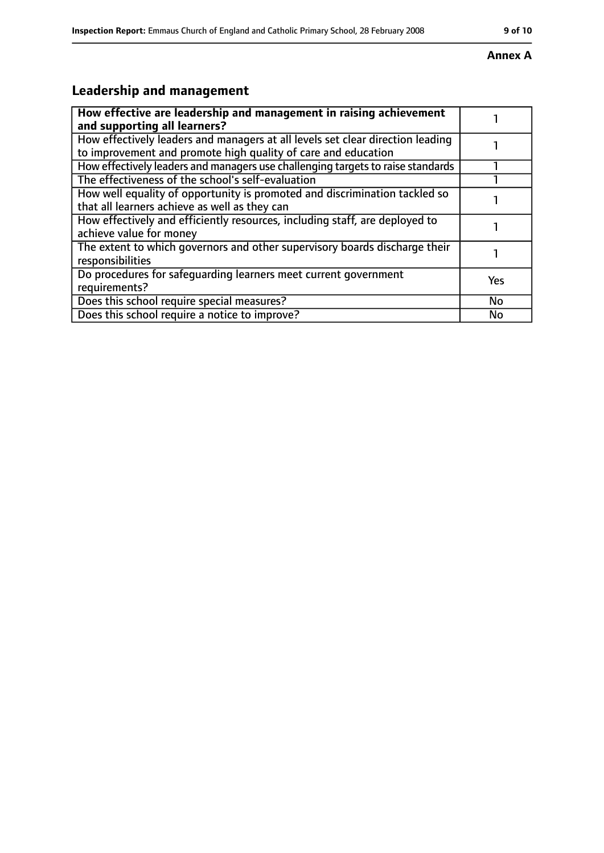### **Annex A**

# **Leadership and management**

| How effective are leadership and management in raising achievement<br>and supporting all learners?                                              |           |
|-------------------------------------------------------------------------------------------------------------------------------------------------|-----------|
| How effectively leaders and managers at all levels set clear direction leading<br>to improvement and promote high quality of care and education |           |
| How effectively leaders and managers use challenging targets to raise standards                                                                 |           |
| The effectiveness of the school's self-evaluation                                                                                               |           |
| How well equality of opportunity is promoted and discrimination tackled so<br>that all learners achieve as well as they can                     |           |
| How effectively and efficiently resources, including staff, are deployed to<br>achieve value for money                                          |           |
| The extent to which governors and other supervisory boards discharge their<br>responsibilities                                                  |           |
| Do procedures for safequarding learners meet current government<br>requirements?                                                                | Yes       |
| Does this school require special measures?                                                                                                      | <b>No</b> |
| Does this school require a notice to improve?                                                                                                   | No        |